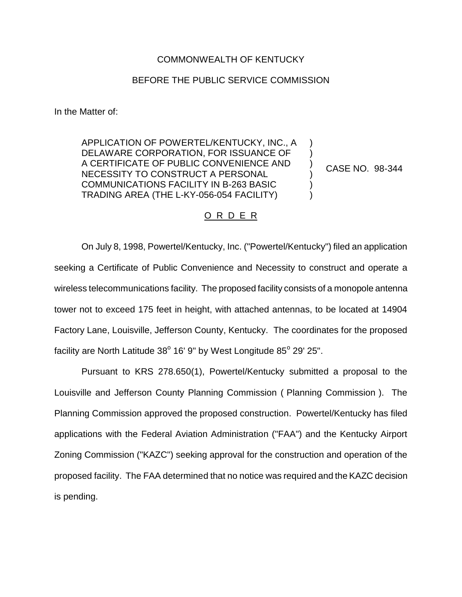## COMMONWEALTH OF KENTUCKY

## BEFORE THE PUBLIC SERVICE COMMISSION

In the Matter of:

APPLICATION OF POWERTEL/KENTUCKY, INC., A DELAWARE CORPORATION, FOR ISSUANCE OF A CERTIFICATE OF PUBLIC CONVENIENCE AND NECESSITY TO CONSTRUCT A PERSONAL COMMUNICATIONS FACILITY IN B-263 BASIC TRADING AREA (THE L-KY-056-054 FACILITY)

CASE NO. 98-344

) ) ) ) ) )

## O R D E R

On July 8, 1998, Powertel/Kentucky, Inc. ("Powertel/Kentucky") filed an application seeking a Certificate of Public Convenience and Necessity to construct and operate a wireless telecommunications facility. The proposed facility consists of a monopole antenna tower not to exceed 175 feet in height, with attached antennas, to be located at 14904 Factory Lane, Louisville, Jefferson County, Kentucky. The coordinates for the proposed facility are North Latitude  $38^{\circ}$  16' 9" by West Longitude  $85^{\circ}$  29' 25".

Pursuant to KRS 278.650(1), Powertel/Kentucky submitted a proposal to the Louisville and Jefferson County Planning Commission ( Planning Commission ). The Planning Commission approved the proposed construction. Powertel/Kentucky has filed applications with the Federal Aviation Administration ("FAA") and the Kentucky Airport Zoning Commission ("KAZC") seeking approval for the construction and operation of the proposed facility. The FAA determined that no notice was required and the KAZC decision is pending.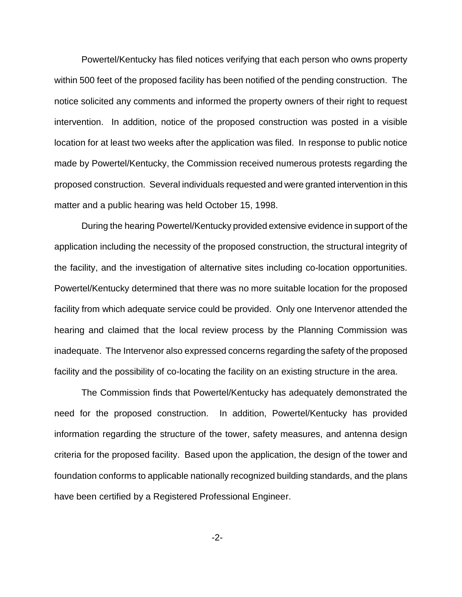Powertel/Kentucky has filed notices verifying that each person who owns property within 500 feet of the proposed facility has been notified of the pending construction. The notice solicited any comments and informed the property owners of their right to request intervention. In addition, notice of the proposed construction was posted in a visible location for at least two weeks after the application was filed. In response to public notice made by Powertel/Kentucky, the Commission received numerous protests regarding the proposed construction. Several individuals requested and were granted intervention in this matter and a public hearing was held October 15, 1998.

During the hearing Powertel/Kentucky provided extensive evidence in support of the application including the necessity of the proposed construction, the structural integrity of the facility, and the investigation of alternative sites including co-location opportunities. Powertel/Kentucky determined that there was no more suitable location for the proposed facility from which adequate service could be provided. Only one Intervenor attended the hearing and claimed that the local review process by the Planning Commission was inadequate. The Intervenor also expressed concerns regarding the safety of the proposed facility and the possibility of co-locating the facility on an existing structure in the area.

The Commission finds that Powertel/Kentucky has adequately demonstrated the need for the proposed construction. In addition, Powertel/Kentucky has provided information regarding the structure of the tower, safety measures, and antenna design criteria for the proposed facility. Based upon the application, the design of the tower and foundation conforms to applicable nationally recognized building standards, and the plans have been certified by a Registered Professional Engineer.

-2-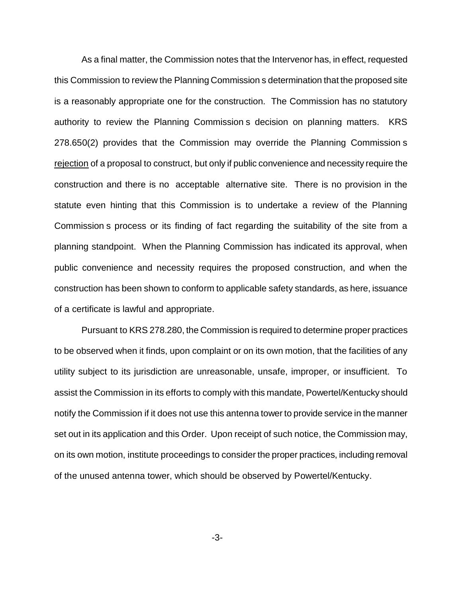As a final matter, the Commission notes that the Intervenor has, in effect, requested this Commission to review the Planning Commission s determination that the proposed site is a reasonably appropriate one for the construction. The Commission has no statutory authority to review the Planning Commission s decision on planning matters. KRS 278.650(2) provides that the Commission may override the Planning Commission s rejection of a proposal to construct, but only if public convenience and necessity require the construction and there is no acceptable alternative site. There is no provision in the statute even hinting that this Commission is to undertake a review of the Planning Commission s process or its finding of fact regarding the suitability of the site from a planning standpoint. When the Planning Commission has indicated its approval, when public convenience and necessity requires the proposed construction, and when the construction has been shown to conform to applicable safety standards, as here, issuance of a certificate is lawful and appropriate.

Pursuant to KRS 278.280, the Commission is required to determine proper practices to be observed when it finds, upon complaint or on its own motion, that the facilities of any utility subject to its jurisdiction are unreasonable, unsafe, improper, or insufficient. To assist the Commission in its efforts to comply with this mandate, Powertel/Kentucky should notify the Commission if it does not use this antenna tower to provide service in the manner set out in its application and this Order. Upon receipt of such notice, the Commission may, on its own motion, institute proceedings to consider the proper practices, including removal of the unused antenna tower, which should be observed by Powertel/Kentucky.

-3-